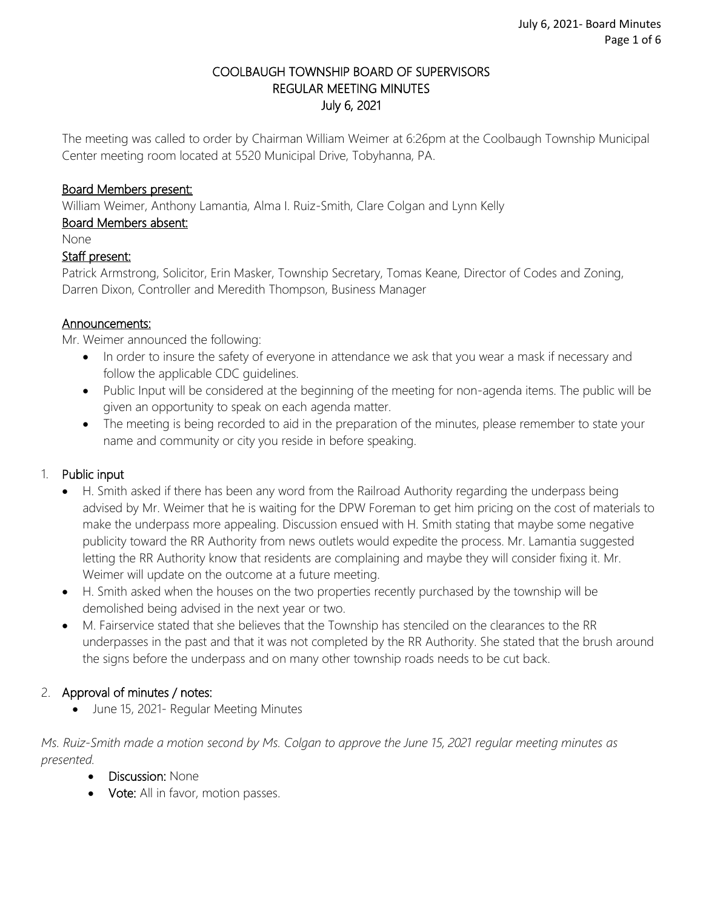### COOLBAUGH TOWNSHIP BOARD OF SUPERVISORS REGULAR MEETING MINUTES July 6, 2021

The meeting was called to order by Chairman William Weimer at 6:26pm at the Coolbaugh Township Municipal Center meeting room located at 5520 Municipal Drive, Tobyhanna, PA.

### Board Members present:

William Weimer, Anthony Lamantia, Alma I. Ruiz-Smith, Clare Colgan and Lynn Kelly

### Board Members absent:

None

#### Staff present:

Patrick Armstrong, Solicitor, Erin Masker, Township Secretary, Tomas Keane, Director of Codes and Zoning, Darren Dixon, Controller and Meredith Thompson, Business Manager

#### Announcements:

Mr. Weimer announced the following:

- In order to insure the safety of everyone in attendance we ask that you wear a mask if necessary and follow the applicable CDC guidelines.
- Public Input will be considered at the beginning of the meeting for non-agenda items. The public will be given an opportunity to speak on each agenda matter.
- The meeting is being recorded to aid in the preparation of the minutes, please remember to state your name and community or city you reside in before speaking.

### 1. Public input

- H. Smith asked if there has been any word from the Railroad Authority regarding the underpass being advised by Mr. Weimer that he is waiting for the DPW Foreman to get him pricing on the cost of materials to make the underpass more appealing. Discussion ensued with H. Smith stating that maybe some negative publicity toward the RR Authority from news outlets would expedite the process. Mr. Lamantia suggested letting the RR Authority know that residents are complaining and maybe they will consider fixing it. Mr. Weimer will update on the outcome at a future meeting.
- H. Smith asked when the houses on the two properties recently purchased by the township will be demolished being advised in the next year or two.
- M. Fairservice stated that she believes that the Township has stenciled on the clearances to the RR underpasses in the past and that it was not completed by the RR Authority. She stated that the brush around the signs before the underpass and on many other township roads needs to be cut back.

### 2. Approval of minutes / notes:

• June 15, 2021- Regular Meeting Minutes

*Ms. Ruiz-Smith made a motion second by Ms. Colgan to approve the June 15, 2021 regular meeting minutes as presented.* 

- **Discussion: None**
- Vote: All in favor, motion passes.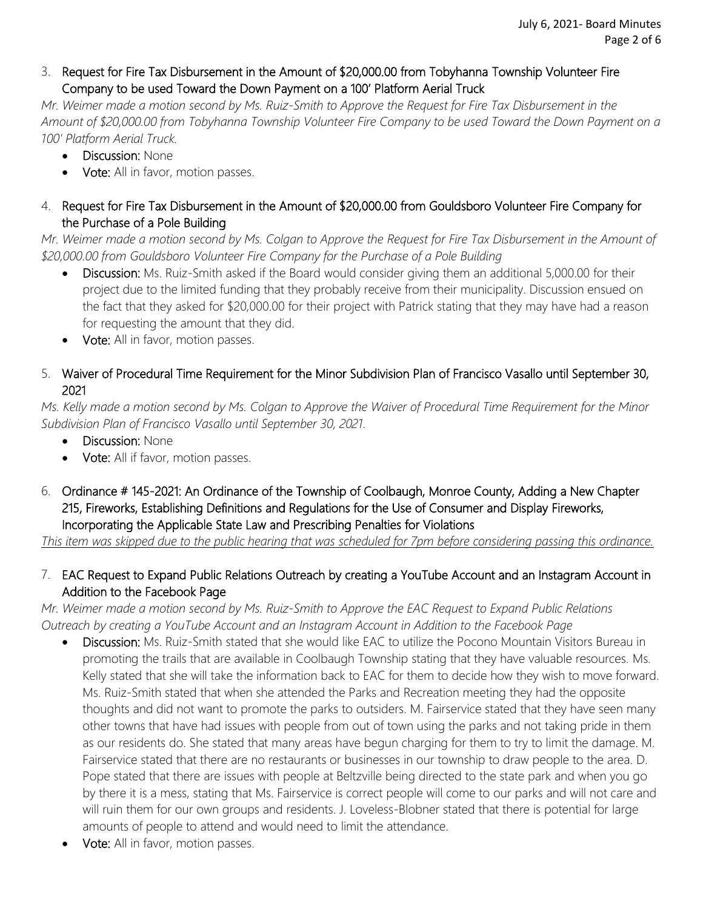### 3. Request for Fire Tax Disbursement in the Amount of \$20,000.00 from Tobyhanna Township Volunteer Fire Company to be used Toward the Down Payment on a 100' Platform Aerial Truck

*Mr. Weimer made a motion second by Ms. Ruiz-Smith to Approve the Request for Fire Tax Disbursement in the Amount of \$20,000.00 from Tobyhanna Township Volunteer Fire Company to be used Toward the Down Payment on a 100' Platform Aerial Truck.*

- Discussion: None
- Vote:All in favor, motion passes.

## 4. Request for Fire Tax Disbursement in the Amount of \$20,000.00 from Gouldsboro Volunteer Fire Company for the Purchase of a Pole Building

*Mr. Weimer made a motion second by Ms. Colgan to Approve the Request for Fire Tax Disbursement in the Amount of \$20,000.00 from Gouldsboro Volunteer Fire Company for the Purchase of a Pole Building* 

- Discussion: Ms. Ruiz-Smith asked if the Board would consider giving them an additional 5,000.00 for their project due to the limited funding that they probably receive from their municipality. Discussion ensued on the fact that they asked for \$20,000.00 for their project with Patrick stating that they may have had a reason for requesting the amount that they did.
- **Vote:** All in favor, motion passes.

## 5. Waiver of Procedural Time Requirement for the Minor Subdivision Plan of Francisco Vasallo until September 30, 2021

*Ms. Kelly made a motion second by Ms. Colgan to Approve the Waiver of Procedural Time Requirement for the Minor Subdivision Plan of Francisco Vasallo until September 30, 2021.*

- Discussion: None
- Vote: All if favor, motion passes.
- 6. Ordinance # 145-2021: An Ordinance of the Township of Coolbaugh, Monroe County, Adding a New Chapter 215, Fireworks, Establishing Definitions and Regulations for the Use of Consumer and Display Fireworks, Incorporating the Applicable State Law and Prescribing Penalties for Violations

*This item was skipped due to the public hearing that was scheduled for 7pm before considering passing this ordinance.* 

## 7. EAC Request to Expand Public Relations Outreach by creating a YouTube Account and an Instagram Account in Addition to the Facebook Page

*Mr. Weimer made a motion second by Ms. Ruiz-Smith to Approve the EAC Request to Expand Public Relations Outreach by creating a YouTube Account and an Instagram Account in Addition to the Facebook Page*

- Discussion: Ms. Ruiz-Smith stated that she would like EAC to utilize the Pocono Mountain Visitors Bureau in promoting the trails that are available in Coolbaugh Township stating that they have valuable resources. Ms. Kelly stated that she will take the information back to EAC for them to decide how they wish to move forward. Ms. Ruiz-Smith stated that when she attended the Parks and Recreation meeting they had the opposite thoughts and did not want to promote the parks to outsiders. M. Fairservice stated that they have seen many other towns that have had issues with people from out of town using the parks and not taking pride in them as our residents do. She stated that many areas have begun charging for them to try to limit the damage. M. Fairservice stated that there are no restaurants or businesses in our township to draw people to the area. D. Pope stated that there are issues with people at Beltzville being directed to the state park and when you go by there it is a mess, stating that Ms. Fairservice is correct people will come to our parks and will not care and will ruin them for our own groups and residents. J. Loveless-Blobner stated that there is potential for large amounts of people to attend and would need to limit the attendance.
- Vote: All in favor, motion passes.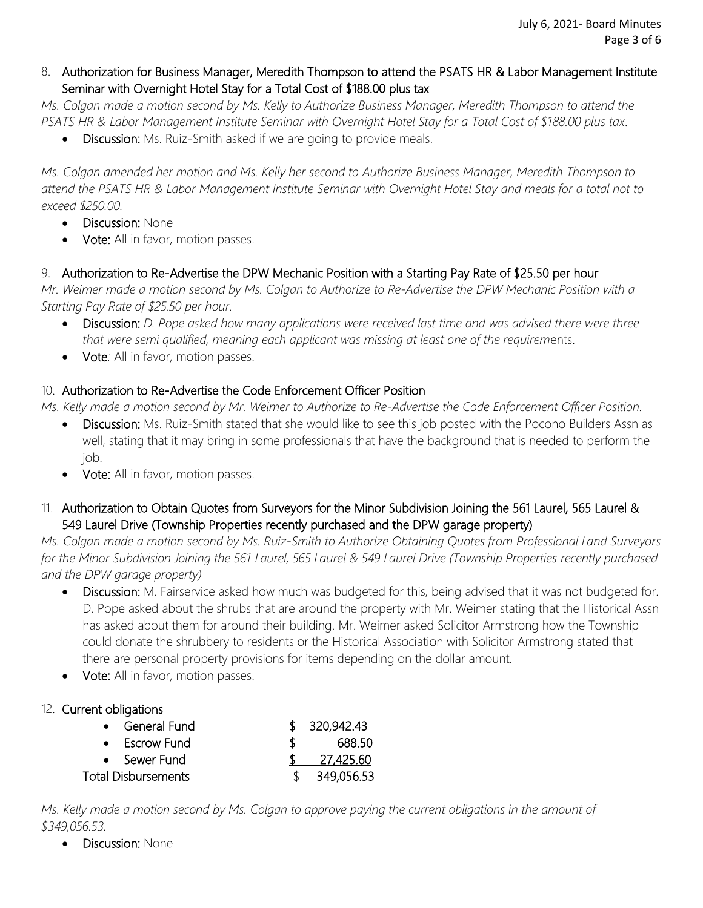### 8. Authorization for Business Manager, Meredith Thompson to attend the PSATS HR & Labor Management Institute Seminar with Overnight Hotel Stay for a Total Cost of \$188.00 plus tax

*Ms. Colgan made a motion second by Ms. Kelly to Authorize Business Manager, Meredith Thompson to attend the PSATS HR & Labor Management Institute Seminar with Overnight Hotel Stay for a Total Cost of \$188.00 plus tax.*

Discussion: Ms. Ruiz-Smith asked if we are going to provide meals.

*Ms. Colgan amended her motion and Ms. Kelly her second to Authorize Business Manager, Meredith Thompson to attend the PSATS HR & Labor Management Institute Seminar with Overnight Hotel Stay and meals for a total not to exceed \$250.00.*

- Discussion: None
- **Vote:** All in favor, motion passes.

## 9. Authorization to Re-Advertise the DPW Mechanic Position with a Starting Pay Rate of \$25.50 per hour

*Mr. Weimer made a motion second by Ms. Colgan to Authorize to Re-Advertise the DPW Mechanic Position with a Starting Pay Rate of \$25.50 per hour.*

- Discussion: *D. Pope asked how many applications were received last time and was advised there were three that were semi qualified, meaning each applicant was missing at least one of the requirem*ents.
- Vote: All in favor, motion passes.

# 10. Authorization to Re-Advertise the Code Enforcement Officer Position

*Ms. Kelly made a motion second by Mr. Weimer to Authorize to Re-Advertise the Code Enforcement Officer Position.*

- Discussion: Ms. Ruiz-Smith stated that she would like to see this job posted with the Pocono Builders Assn as well, stating that it may bring in some professionals that have the background that is needed to perform the job.
- Vote: All in favor, motion passes.
- 11. Authorization to Obtain Quotes from Surveyors for the Minor Subdivision Joining the 561 Laurel, 565 Laurel & 549 Laurel Drive (Township Properties recently purchased and the DPW garage property)

*Ms. Colgan made a motion second by Ms. Ruiz-Smith to Authorize Obtaining Quotes from Professional Land Surveyors for the Minor Subdivision Joining the 561 Laurel, 565 Laurel & 549 Laurel Drive (Township Properties recently purchased and the DPW garage property)*

- Discussion: M. Fairservice asked how much was budgeted for this, being advised that it was not budgeted for. D. Pope asked about the shrubs that are around the property with Mr. Weimer stating that the Historical Assn has asked about them for around their building. Mr. Weimer asked Solicitor Armstrong how the Township could donate the shrubbery to residents or the Historical Association with Solicitor Armstrong stated that there are personal property provisions for items depending on the dollar amount.
- **Vote:** All in favor, motion passes.

### 12. Current obligations

| • General Fund      |    | \$320,942.43 |
|---------------------|----|--------------|
| • Escrow Fund       | Х. | 688.50       |
| • Sewer Fund        |    | 27,425.60    |
| Total Disbursements |    | 349,056.53   |

*Ms. Kelly made a motion second by Ms. Colgan to approve paying the current obligations in the amount of \$349,056.53.* 

Discussion: None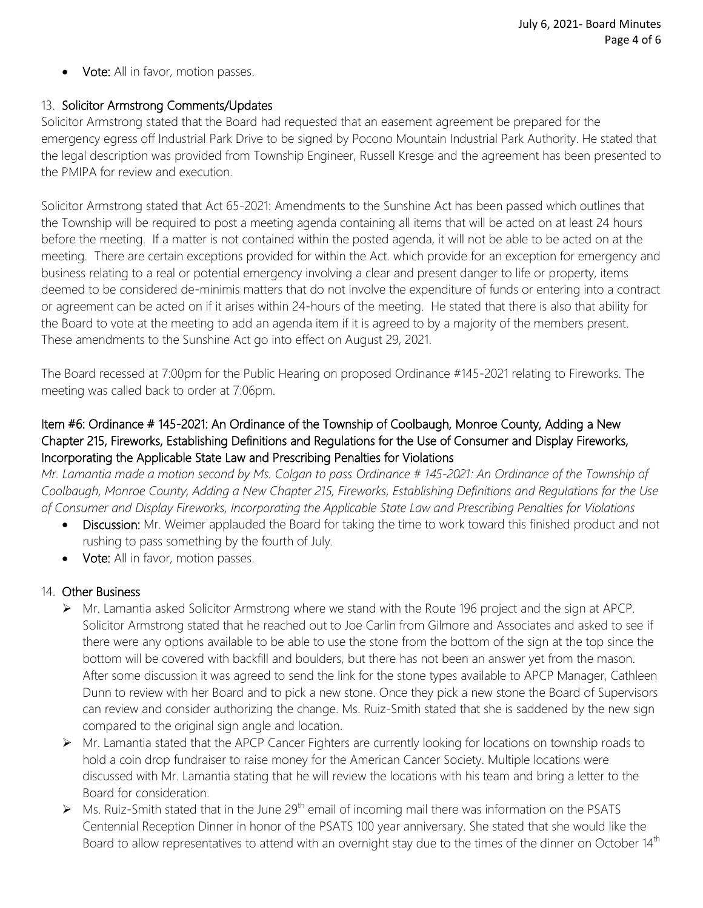**Vote:** All in favor, motion passes.

#### 13. Solicitor Armstrong Comments/Updates

Solicitor Armstrong stated that the Board had requested that an easement agreement be prepared for the emergency egress off Industrial Park Drive to be signed by Pocono Mountain Industrial Park Authority. He stated that the legal description was provided from Township Engineer, Russell Kresge and the agreement has been presented to the PMIPA for review and execution.

Solicitor Armstrong stated that Act 65-2021: Amendments to the Sunshine Act has been passed which outlines that the Township will be required to post a meeting agenda containing all items that will be acted on at least 24 hours before the meeting. If a matter is not contained within the posted agenda, it will not be able to be acted on at the meeting. There are certain exceptions provided for within the Act. which provide for an exception for emergency and business relating to a real or potential emergency involving a clear and present danger to life or property, items deemed to be considered de-minimis matters that do not involve the expenditure of funds or entering into a contract or agreement can be acted on if it arises within 24-hours of the meeting. He stated that there is also that ability for the Board to vote at the meeting to add an agenda item if it is agreed to by a majority of the members present. These amendments to the Sunshine Act go into effect on August 29, 2021.

The Board recessed at 7:00pm for the Public Hearing on proposed Ordinance #145-2021 relating to Fireworks. The meeting was called back to order at 7:06pm.

### Item #6: Ordinance # 145-2021: An Ordinance of the Township of Coolbaugh, Monroe County, Adding a New Chapter 215, Fireworks, Establishing Definitions and Regulations for the Use of Consumer and Display Fireworks, Incorporating the Applicable State Law and Prescribing Penalties for Violations

*Mr. Lamantia made a motion second by Ms. Colgan to pass Ordinance # 145-2021: An Ordinance of the Township of Coolbaugh, Monroe County, Adding a New Chapter 215, Fireworks, Establishing Definitions and Regulations for the Use of Consumer and Display Fireworks, Incorporating the Applicable State Law and Prescribing Penalties for Violations*

- Discussion: Mr. Weimer applauded the Board for taking the time to work toward this finished product and not rushing to pass something by the fourth of July.
- Vote: All in favor, motion passes.

#### 14. Other Business

- Mr. Lamantia asked Solicitor Armstrong where we stand with the Route 196 project and the sign at APCP. Solicitor Armstrong stated that he reached out to Joe Carlin from Gilmore and Associates and asked to see if there were any options available to be able to use the stone from the bottom of the sign at the top since the bottom will be covered with backfill and boulders, but there has not been an answer yet from the mason. After some discussion it was agreed to send the link for the stone types available to APCP Manager, Cathleen Dunn to review with her Board and to pick a new stone. Once they pick a new stone the Board of Supervisors can review and consider authorizing the change. Ms. Ruiz-Smith stated that she is saddened by the new sign compared to the original sign angle and location.
- Mr. Lamantia stated that the APCP Cancer Fighters are currently looking for locations on township roads to hold a coin drop fundraiser to raise money for the American Cancer Society. Multiple locations were discussed with Mr. Lamantia stating that he will review the locations with his team and bring a letter to the Board for consideration.
- $\triangleright$  Ms. Ruiz-Smith stated that in the June 29<sup>th</sup> email of incoming mail there was information on the PSATS Centennial Reception Dinner in honor of the PSATS 100 year anniversary. She stated that she would like the Board to allow representatives to attend with an overnight stay due to the times of the dinner on October 14<sup>th</sup>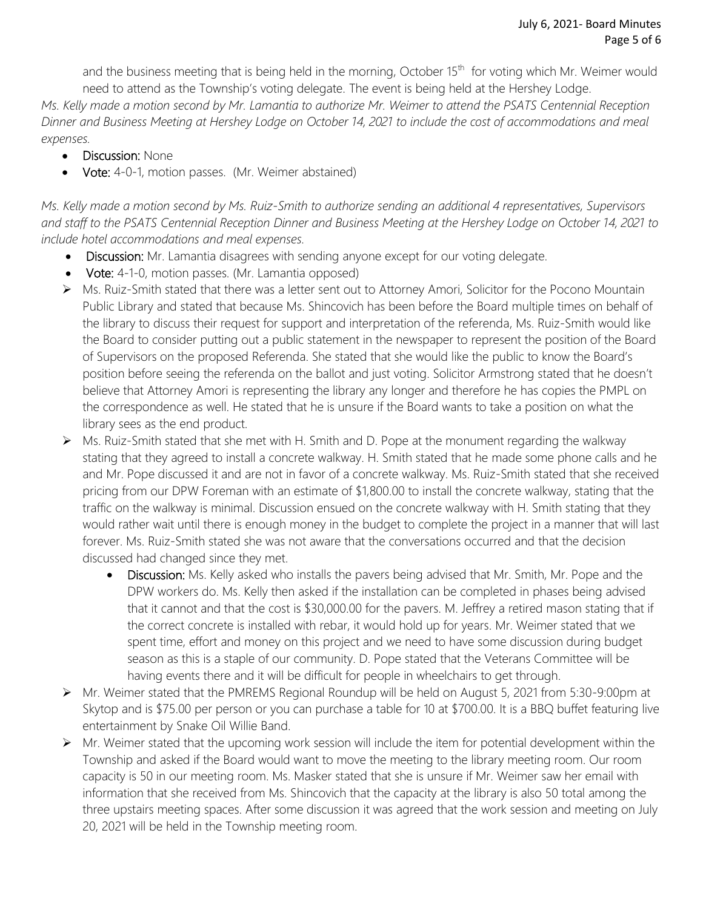and the business meeting that is being held in the morning, October 15<sup>th</sup> for voting which Mr. Weimer would need to attend as the Township's voting delegate. The event is being held at the Hershey Lodge.

*Ms. Kelly made a motion second by Mr. Lamantia to authorize Mr. Weimer to attend the PSATS Centennial Reception Dinner and Business Meeting at Hershey Lodge on October 14, 2021 to include the cost of accommodations and meal expenses.* 

- **Discussion: None**
- Vote: 4-0-1, motion passes. (Mr. Weimer abstained)

*Ms. Kelly made a motion second by Ms. Ruiz-Smith to authorize sending an additional 4 representatives, Supervisors and staff to the PSATS Centennial Reception Dinner and Business Meeting at the Hershey Lodge on October 14, 2021 to include hotel accommodations and meal expenses.*

- Discussion: Mr. Lamantia disagrees with sending anyone except for our voting delegate.
- Vote: 4-1-0, motion passes. (Mr. Lamantia opposed)
- Ms. Ruiz-Smith stated that there was a letter sent out to Attorney Amori, Solicitor for the Pocono Mountain Public Library and stated that because Ms. Shincovich has been before the Board multiple times on behalf of the library to discuss their request for support and interpretation of the referenda, Ms. Ruiz-Smith would like the Board to consider putting out a public statement in the newspaper to represent the position of the Board of Supervisors on the proposed Referenda. She stated that she would like the public to know the Board's position before seeing the referenda on the ballot and just voting. Solicitor Armstrong stated that he doesn't believe that Attorney Amori is representing the library any longer and therefore he has copies the PMPL on the correspondence as well. He stated that he is unsure if the Board wants to take a position on what the library sees as the end product.
- Ms. Ruiz-Smith stated that she met with H. Smith and D. Pope at the monument regarding the walkway stating that they agreed to install a concrete walkway. H. Smith stated that he made some phone calls and he and Mr. Pope discussed it and are not in favor of a concrete walkway. Ms. Ruiz-Smith stated that she received pricing from our DPW Foreman with an estimate of \$1,800.00 to install the concrete walkway, stating that the traffic on the walkway is minimal. Discussion ensued on the concrete walkway with H. Smith stating that they would rather wait until there is enough money in the budget to complete the project in a manner that will last forever. Ms. Ruiz-Smith stated she was not aware that the conversations occurred and that the decision discussed had changed since they met.
	- Discussion: Ms. Kelly asked who installs the pavers being advised that Mr. Smith, Mr. Pope and the DPW workers do. Ms. Kelly then asked if the installation can be completed in phases being advised that it cannot and that the cost is \$30,000.00 for the pavers. M. Jeffrey a retired mason stating that if the correct concrete is installed with rebar, it would hold up for years. Mr. Weimer stated that we spent time, effort and money on this project and we need to have some discussion during budget season as this is a staple of our community. D. Pope stated that the Veterans Committee will be having events there and it will be difficult for people in wheelchairs to get through.
- Mr. Weimer stated that the PMREMS Regional Roundup will be held on August 5, 2021 from 5:30-9:00pm at Skytop and is \$75.00 per person or you can purchase a table for 10 at \$700.00. It is a BBQ buffet featuring live entertainment by Snake Oil Willie Band.
- $\triangleright$  Mr. Weimer stated that the upcoming work session will include the item for potential development within the Township and asked if the Board would want to move the meeting to the library meeting room. Our room capacity is 50 in our meeting room. Ms. Masker stated that she is unsure if Mr. Weimer saw her email with information that she received from Ms. Shincovich that the capacity at the library is also 50 total among the three upstairs meeting spaces. After some discussion it was agreed that the work session and meeting on July 20, 2021 will be held in the Township meeting room.